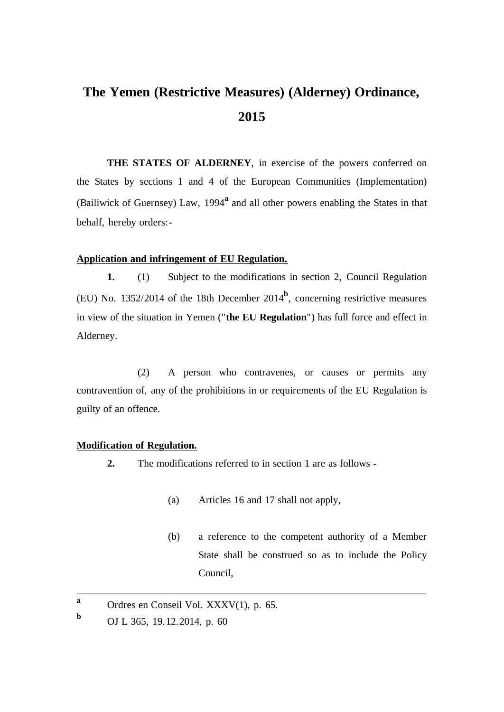# **The Yemen (Restrictive Measures) (Alderney) Ordinance, 2015**

**THE STATES OF ALDERNEY**, in exercise of the powers conferred on the States by sections 1 and 4 of the European Communities (Implementation) (Bailiwick of Guernsey) Law, 1994**<sup>a</sup>** and all other powers enabling the States in that behalf, hereby orders:-

## **Application and infringement of EU Regulation.**

**1.** (1) Subject to the modifications in section 2, Council Regulation (EU) No. 1352/2014 of the 18th December  $2014^b$ , concerning restrictive measures in view of the situation in Yemen ("**the EU Regulation**") has full force and effect in Alderney.

(2) A person who contravenes, or causes or permits any contravention of, any of the prohibitions in or requirements of the EU Regulation is guilty of an offence.

#### **Modification of Regulation.**

- **2.** The modifications referred to in section 1 are as follows
	- (a) Articles 16 and 17 shall not apply,

\_\_\_\_\_\_\_\_\_\_\_\_\_\_\_\_\_\_\_\_\_\_\_\_\_\_\_\_\_\_\_\_\_\_\_\_\_\_\_\_\_\_\_\_\_\_\_\_\_\_\_\_\_\_\_\_\_\_\_\_\_\_\_\_\_\_\_\_\_

(b) a reference to the competent authority of a Member State shall be construed so as to include the Policy Council,

**a** Ordres en Conseil Vol. XXXV(1), p. 65.

**b** OJ L 365, 19.12.2014, p. 60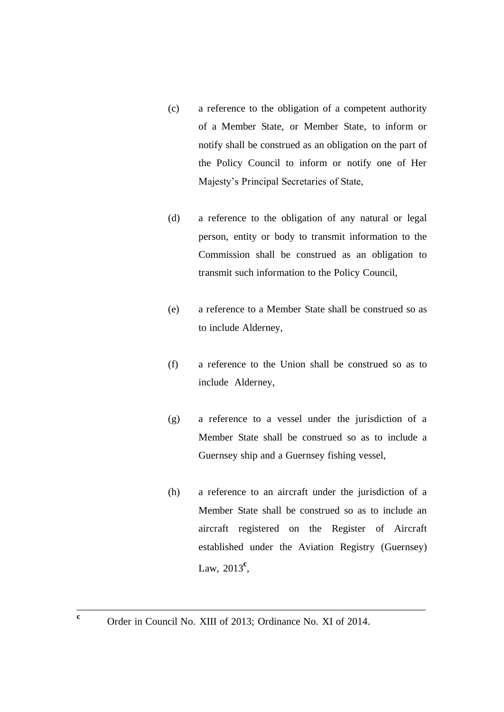- (c) a reference to the obligation of a competent authority of a Member State, or Member State, to inform or notify shall be construed as an obligation on the part of the Policy Council to inform or notify one of Her Majesty's Principal Secretaries of State,
- (d) a reference to the obligation of any natural or legal person, entity or body to transmit information to the Commission shall be construed as an obligation to transmit such information to the Policy Council,
- (e) a reference to a Member State shall be construed so as to include Alderney,
- (f) a reference to the Union shall be construed so as to include Alderney,
- (g) a reference to a vessel under the jurisdiction of a Member State shall be construed so as to include a Guernsey ship and a Guernsey fishing vessel,
- (h) a reference to an aircraft under the jurisdiction of a Member State shall be construed so as to include an aircraft registered on the Register of Aircraft established under the Aviation Registry (Guernsey) Law, 2013<sup>c</sup>,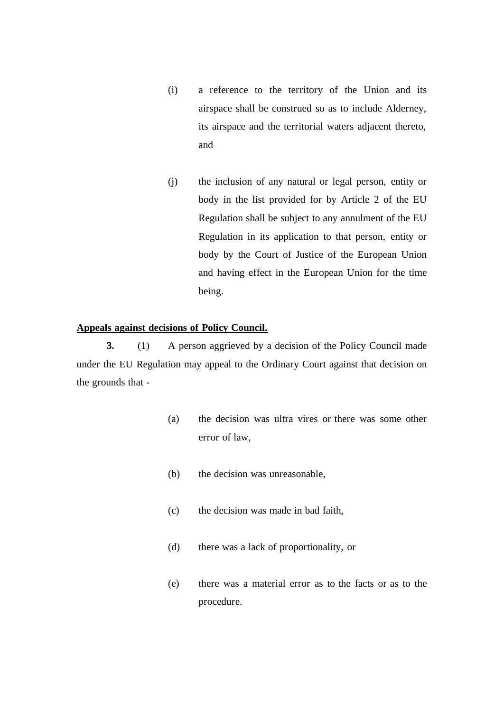- (i) a reference to the territory of the Union and its airspace shall be construed so as to include Alderney, its airspace and the territorial waters adjacent thereto, and
- (j) the inclusion of any natural or legal person, entity or body in the list provided for by Article 2 of the EU Regulation shall be subject to any annulment of the EU Regulation in its application to that person, entity or body by the Court of Justice of the European Union and having effect in the European Union for the time being.

## **Appeals against decisions of Policy Council.**

**3.** (1) A person aggrieved by a decision of the Policy Council made under the EU Regulation may appeal to the Ordinary Court against that decision on the grounds that -

- (a) the decision was ultra vires or there was some other error of law,
- (b) the decision was unreasonable,
- (c) the decision was made in bad faith,
- (d) there was a lack of proportionality, or
- (e) there was a material error as to the facts or as to the procedure.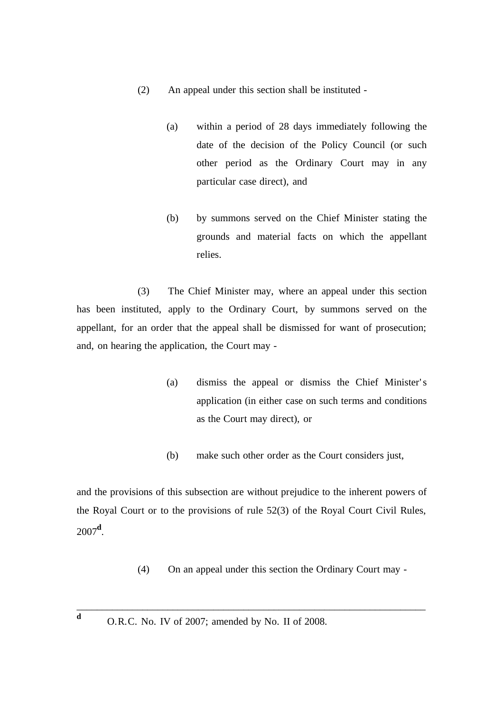- (2) An appeal under this section shall be instituted
	- (a) within a period of 28 days immediately following the date of the decision of the Policy Council (or such other period as the Ordinary Court may in any particular case direct), and
	- (b) by summons served on the Chief Minister stating the grounds and material facts on which the appellant relies.

(3) The Chief Minister may, where an appeal under this section has been instituted, apply to the Ordinary Court, by summons served on the appellant, for an order that the appeal shall be dismissed for want of prosecution; and, on hearing the application, the Court may -

- (a) dismiss the appeal or dismiss the Chief Minister' s application (in either case on such terms and conditions as the Court may direct), or
- (b) make such other order as the Court considers just,

and the provisions of this subsection are without prejudice to the inherent powers of the Royal Court or to the provisions of rule 52(3) of the Royal Court Civil Rules, 2007**<sup>d</sup>** .

- (4) On an appeal under this section the Ordinary Court may -
- **<sup>d</sup>** O.R.C. No. IV of 2007; amended by No. II of 2008.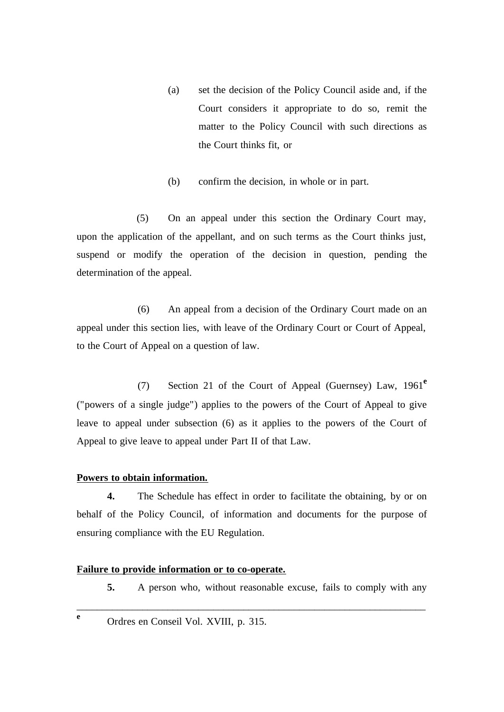- (a) set the decision of the Policy Council aside and, if the Court considers it appropriate to do so, remit the matter to the Policy Council with such directions as the Court thinks fit, or
- (b) confirm the decision, in whole or in part.

(5) On an appeal under this section the Ordinary Court may, upon the application of the appellant, and on such terms as the Court thinks just, suspend or modify the operation of the decision in question, pending the determination of the appeal.

(6) An appeal from a decision of the Ordinary Court made on an appeal under this section lies, with leave of the Ordinary Court or Court of Appeal, to the Court of Appeal on a question of law.

(7) Section 21 of the Court of Appeal (Guernsey) Law, 1961**<sup>e</sup>** ("powers of a single judge") applies to the powers of the Court of Appeal to give leave to appeal under subsection (6) as it applies to the powers of the Court of Appeal to give leave to appeal under Part II of that Law.

# **Powers to obtain information.**

**4.** The Schedule has effect in order to facilitate the obtaining, by or on behalf of the Policy Council, of information and documents for the purpose of ensuring compliance with the EU Regulation.

\_\_\_\_\_\_\_\_\_\_\_\_\_\_\_\_\_\_\_\_\_\_\_\_\_\_\_\_\_\_\_\_\_\_\_\_\_\_\_\_\_\_\_\_\_\_\_\_\_\_\_\_\_\_\_\_\_\_\_\_\_\_\_\_\_\_\_\_\_

# **Failure to provide information or to co-operate.**

- **5.** A person who, without reasonable excuse, fails to comply with any
- 
- **<sup>e</sup>** Ordres en Conseil Vol. XVIII, p. 315.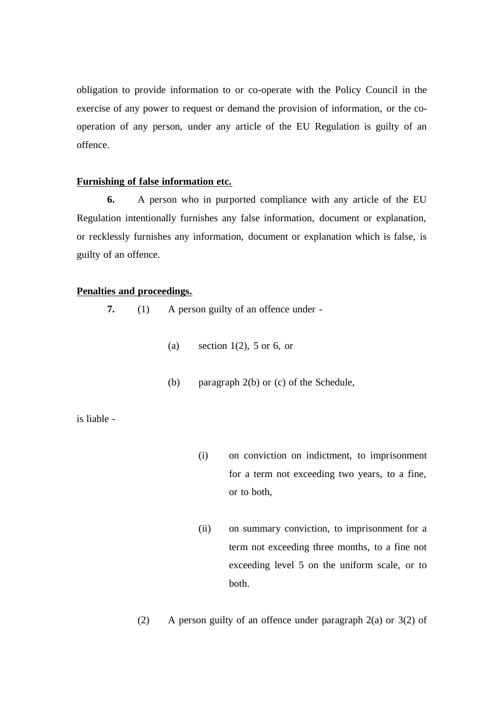obligation to provide information to or co-operate with the Policy Council in the exercise of any power to request or demand the provision of information, or the cooperation of any person, under any article of the EU Regulation is guilty of an offence.

# **Furnishing of false information etc.**

**6.** A person who in purported compliance with any article of the EU Regulation intentionally furnishes any false information, document or explanation, or recklessly furnishes any information, document or explanation which is false, is guilty of an offence.

# **Penalties and proceedings.**

**7.** (1) A person guilty of an offence under -

- (a) section  $1(2)$ , 5 or 6, or
- (b) paragraph 2(b) or (c) of the Schedule,

is liable -

- (i) on conviction on indictment, to imprisonment for a term not exceeding two years, to a fine, or to both,
- (ii) on summary conviction, to imprisonment for a term not exceeding three months, to a fine not exceeding level 5 on the uniform scale, or to both.
- (2) A person guilty of an offence under paragraph 2(a) or 3(2) of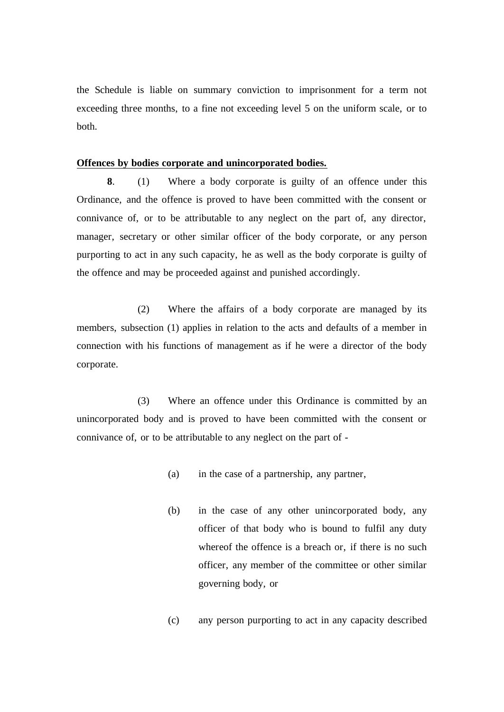the Schedule is liable on summary conviction to imprisonment for a term not exceeding three months, to a fine not exceeding level 5 on the uniform scale, or to both.

## **Offences by bodies corporate and unincorporated bodies.**

**8**. (1) Where a body corporate is guilty of an offence under this Ordinance, and the offence is proved to have been committed with the consent or connivance of, or to be attributable to any neglect on the part of, any director, manager, secretary or other similar officer of the body corporate, or any person purporting to act in any such capacity, he as well as the body corporate is guilty of the offence and may be proceeded against and punished accordingly.

(2) Where the affairs of a body corporate are managed by its members, subsection (1) applies in relation to the acts and defaults of a member in connection with his functions of management as if he were a director of the body corporate.

(3) Where an offence under this Ordinance is committed by an unincorporated body and is proved to have been committed with the consent or connivance of, or to be attributable to any neglect on the part of -

- (a) in the case of a partnership, any partner,
- (b) in the case of any other unincorporated body, any officer of that body who is bound to fulfil any duty whereof the offence is a breach or, if there is no such officer, any member of the committee or other similar governing body, or
- (c) any person purporting to act in any capacity described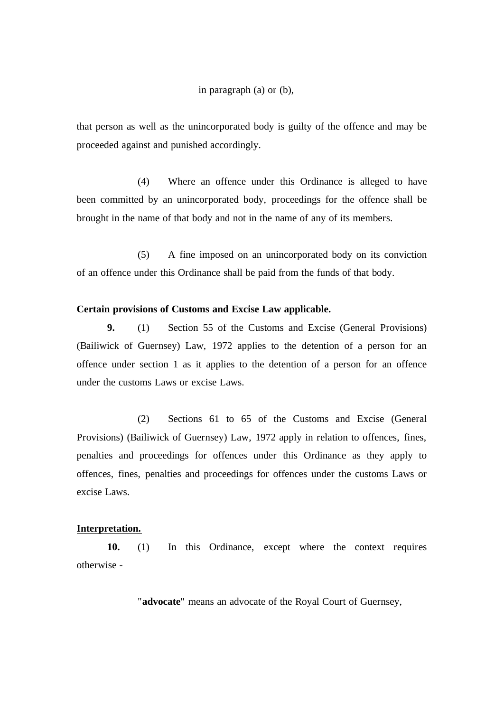#### in paragraph (a) or (b),

that person as well as the unincorporated body is guilty of the offence and may be proceeded against and punished accordingly.

(4) Where an offence under this Ordinance is alleged to have been committed by an unincorporated body, proceedings for the offence shall be brought in the name of that body and not in the name of any of its members.

(5) A fine imposed on an unincorporated body on its conviction of an offence under this Ordinance shall be paid from the funds of that body.

### **Certain provisions of Customs and Excise Law applicable.**

**9.** (1) Section 55 of the Customs and Excise (General Provisions) (Bailiwick of Guernsey) Law, 1972 applies to the detention of a person for an offence under section 1 as it applies to the detention of a person for an offence under the customs Laws or excise Laws.

(2) Sections 61 to 65 of the Customs and Excise (General Provisions) (Bailiwick of Guernsey) Law, 1972 apply in relation to offences, fines, penalties and proceedings for offences under this Ordinance as they apply to offences, fines, penalties and proceedings for offences under the customs Laws or excise Laws.

### **Interpretation.**

**10.** (1) In this Ordinance, except where the context requires otherwise -

"**advocate**" means an advocate of the Royal Court of Guernsey,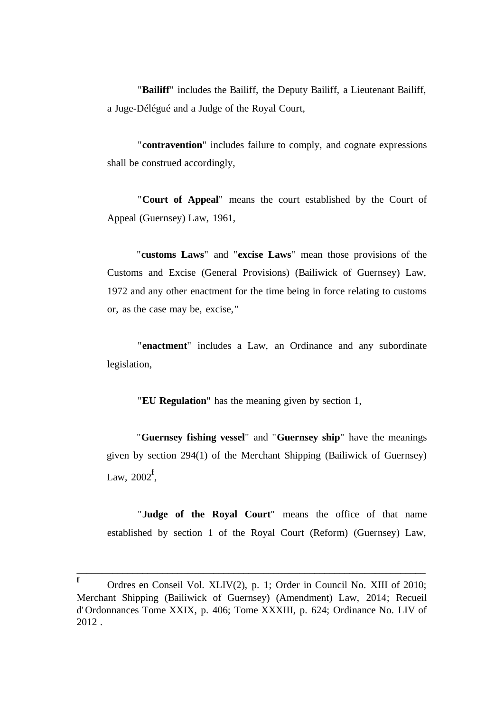"**Bailiff**" includes the Bailiff, the Deputy Bailiff, a Lieutenant Bailiff, a Juge-Délégué and a Judge of the Royal Court,

"**contravention**" includes failure to comply, and cognate expressions shall be construed accordingly,

"**Court of Appeal**" means the court established by the Court of Appeal (Guernsey) Law, 1961,

"**customs Laws**" and "**excise Laws**" mean those provisions of the Customs and Excise (General Provisions) (Bailiwick of Guernsey) Law, 1972 and any other enactment for the time being in force relating to customs or, as the case may be, excise,"

"**enactment**" includes a Law, an Ordinance and any subordinate legislation,

"**EU Regulation**" has the meaning given by section 1,

"**Guernsey fishing vessel**" and "**Guernsey ship**" have the meanings given by section 294(1) of the Merchant Shipping (Bailiwick of Guernsey) Law, 2002**<sup>f</sup>** ,

"**Judge of the Royal Court**" means the office of that name established by section 1 of the Royal Court (Reform) (Guernsey) Law,

**<sup>f</sup>** Ordres en Conseil Vol. XLIV(2), p. 1; Order in Council No. XIII of 2010; Merchant Shipping (Bailiwick of Guernsey) (Amendment) Law, 2014; Recueil d' Ordonnances Tome XXIX, p. 406; Tome XXXIII, p. 624; Ordinance No. LIV of 2012 .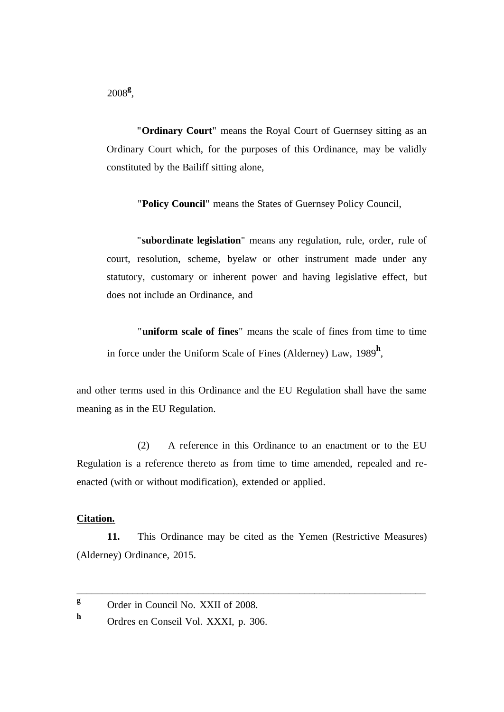2008**<sup>g</sup>** ,

"**Ordinary Court**" means the Royal Court of Guernsey sitting as an Ordinary Court which, for the purposes of this Ordinance, may be validly constituted by the Bailiff sitting alone,

"**Policy Council**" means the States of Guernsey Policy Council,

"**subordinate legislation**" means any regulation, rule, order, rule of court, resolution, scheme, byelaw or other instrument made under any statutory, customary or inherent power and having legislative effect, but does not include an Ordinance, and

"**uniform scale of fines**" means the scale of fines from time to time in force under the Uniform Scale of Fines (Alderney) Law, 1989**<sup>h</sup>** ,

and other terms used in this Ordinance and the EU Regulation shall have the same meaning as in the EU Regulation.

(2) A reference in this Ordinance to an enactment or to the EU Regulation is a reference thereto as from time to time amended, repealed and reenacted (with or without modification), extended or applied.

## **Citation.**

**11.** This Ordinance may be cited as the Yemen (Restrictive Measures) (Alderney) Ordinance, 2015.

<sup>&</sup>lt;sup>g</sup> Order in Council No. XXII of 2008.

**<sup>h</sup>** Ordres en Conseil Vol. XXXI, p. 306.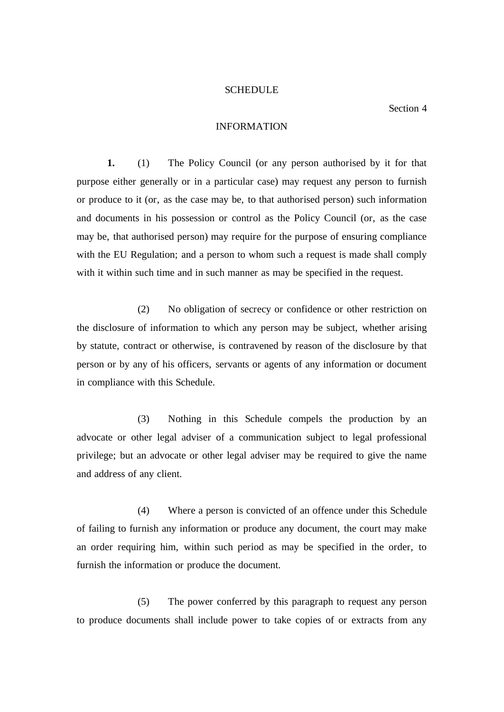#### **SCHEDULE**

## Section 4

## INFORMATION

**1.** (1) The Policy Council (or any person authorised by it for that purpose either generally or in a particular case) may request any person to furnish or produce to it (or, as the case may be, to that authorised person) such information and documents in his possession or control as the Policy Council (or, as the case may be, that authorised person) may require for the purpose of ensuring compliance with the EU Regulation; and a person to whom such a request is made shall comply with it within such time and in such manner as may be specified in the request.

(2) No obligation of secrecy or confidence or other restriction on the disclosure of information to which any person may be subject, whether arising by statute, contract or otherwise, is contravened by reason of the disclosure by that person or by any of his officers, servants or agents of any information or document in compliance with this Schedule.

(3) Nothing in this Schedule compels the production by an advocate or other legal adviser of a communication subject to legal professional privilege; but an advocate or other legal adviser may be required to give the name and address of any client.

(4) Where a person is convicted of an offence under this Schedule of failing to furnish any information or produce any document, the court may make an order requiring him, within such period as may be specified in the order, to furnish the information or produce the document.

(5) The power conferred by this paragraph to request any person to produce documents shall include power to take copies of or extracts from any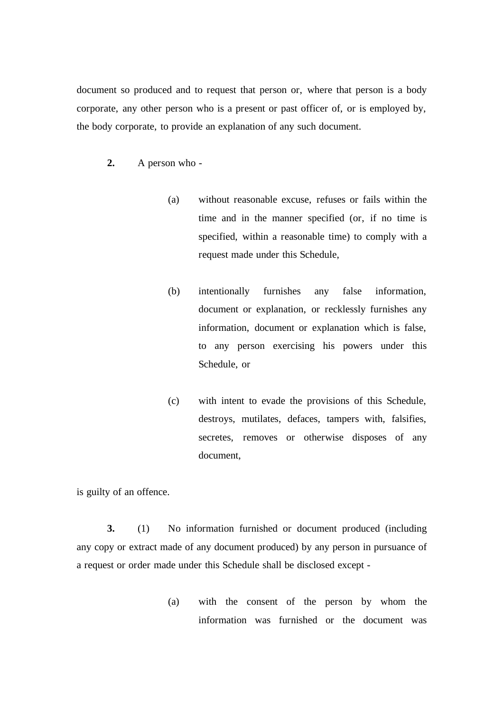document so produced and to request that person or, where that person is a body corporate, any other person who is a present or past officer of, or is employed by, the body corporate, to provide an explanation of any such document.

- **2.** A person who
	- (a) without reasonable excuse, refuses or fails within the time and in the manner specified (or, if no time is specified, within a reasonable time) to comply with a request made under this Schedule,
	- (b) intentionally furnishes any false information, document or explanation, or recklessly furnishes any information, document or explanation which is false, to any person exercising his powers under this Schedule, or
	- (c) with intent to evade the provisions of this Schedule, destroys, mutilates, defaces, tampers with, falsifies, secretes, removes or otherwise disposes of any document,

is guilty of an offence.

**3.** (1) No information furnished or document produced (including any copy or extract made of any document produced) by any person in pursuance of a request or order made under this Schedule shall be disclosed except -

> (a) with the consent of the person by whom the information was furnished or the document was